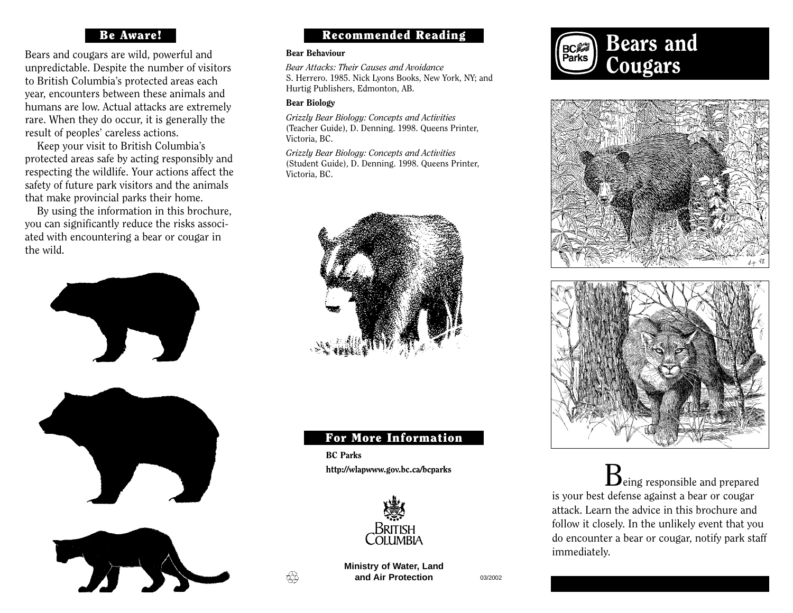### Be Aware!

Bears and cougars are wild, powerful and unpredictable. Despite the number of visitors to British Columbia's protected areas each year, encounters between these animals and humans are low. Actual attacks are extremely rare. When they do occur, it is generally the result of peoples' careless actions.

Keep your visit to British Columbia's protected areas safe by acting responsibly and respecting the wildlife. Your actions affect the safety of future park visitors and the animals that make provincial parks their home.

By using the information in this brochure, you can significantly reduce the risks associated with encountering a bear or cougar in the wild.





### Recommended Reading

#### Bear Behaviour

*Bear Attacks: Their Causes and Avoidance*  S. Herrero. 1985. Nick Lyons Books, New York, NY; and Hurtig Publishers, Edmonton, AB.

### Bear Biology

*Grizzly Bear Biology: Concepts and Activities*  (Teacher Guide), D. Denning. 1998. Queens Printer, Victoria, BC.

*Grizzly Bear Biology: Concepts and Activities* (Student Guide), D. Denning. 1998. Queens Printer, Victoria, BC.



### For More Information

BC Parks http://wlapwww.gov.bc.ca/bcparks



**Ministry of Water, Land and Air Protection** 03/2002

₩







 $B_{\text{eing responsible}}$  and prepared is your best defense against a bear or cougar attack. Learn the advice in this brochure and follow it closely. In the unlikely event that you do encounter a bear or cougar, notify park staff immediately.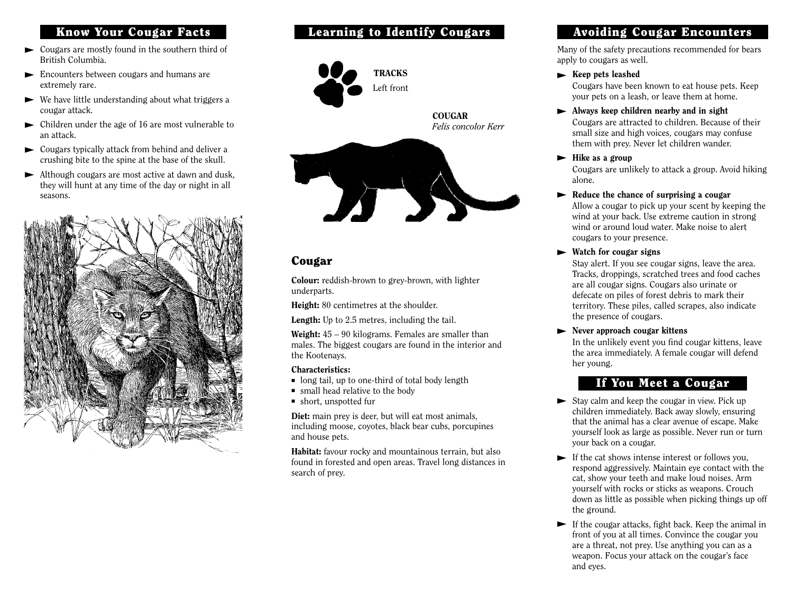### Know Your Cougar Facts

- ► Cougars are mostly found in the southern third of British Columbia.
- ► Encounters between cougars and humans are extremely rare.
- ► We have little understanding about what triggers a cougar attack.
- ► Children under the age of 16 are most vulnerable to an attack.
- ► Cougars typically attack from behind and deliver a crushing bite to the spine at the base of the skull.
- ► Although cougars are most active at dawn and dusk, they will hunt at any time of the day or night in all seasons.



### Learning to Identify Cougars



### Cougar

Colour: reddish-brown to grey-brown, with lighter underparts.

Height: 80 centimetres at the shoulder.

Length: Up to 2.5 metres, including the tail.

Weight:  $45 - 90$  kilograms. Females are smaller than males. The biggest cougars are found in the interior and the Kootenays.

#### Characteristics:

- long tail, up to one-third of total body length
- small head relative to the body
- short, unspotted fur

Diet: main prey is deer, but will eat most animals. including moose, coyotes, black bear cubs, porcupines and house pets.

Habitat: favour rocky and mountainous terrain, but also found in forested and open areas. Travel long distances in search of prey.

### Avoiding Cougar Encounters

Many of the safety precautions recommended for bears apply to cougars as well.

### ► Keep pets leashed

Cougars have been known to eat house pets. Keep your pets on a leash, or leave them at home.

- ► Always keep children nearby and in sight Cougars are attracted to children. Because of their small size and high voices, cougars may confuse them with prey. Never let children wander.
- ► Hike as a group

Cougars are unlikely to attack a group. Avoid hiking alone.

► Reduce the chance of surprising a cougar

Allow a cougar to pick up your scent by keeping the wind at your back. Use extreme caution in strong wind or around loud water. Make noise to alert cougars to your presence.

► Watch for cougar signs

Stay alert. If you see cougar signs, leave the area. Tracks, droppings, scratched trees and food caches are all cougar signs. Cougars also urinate or defecate on piles of forest debris to mark their territory. These piles, called scrapes, also indicate the presence of cougars.

► Never approach cougar kittens

In the unlikely event you find cougar kittens, leave the area immediately. A female cougar will defend her young.

### If You Meet a Cougar

- $\blacktriangleright$  Stay calm and keep the cougar in view. Pick up children immediately. Back away slowly, ensuring that the animal has a clear avenue of escape. Make yourself look as large as possible. Never run or turn your back on a cougar.
- ► If the cat shows intense interest or follows you, respond aggressively. Maintain eye contact with the cat, show your teeth and make loud noises. Arm yourself with rocks or sticks as weapons. Crouch down as little as possible when picking things up off the ground.
- $\blacktriangleright$  If the cougar attacks, fight back. Keep the animal in front of you at all times. Convince the cougar you are a threat, not prey. Use anything you can as a weapon. Focus your attack on the cougar's face and eyes.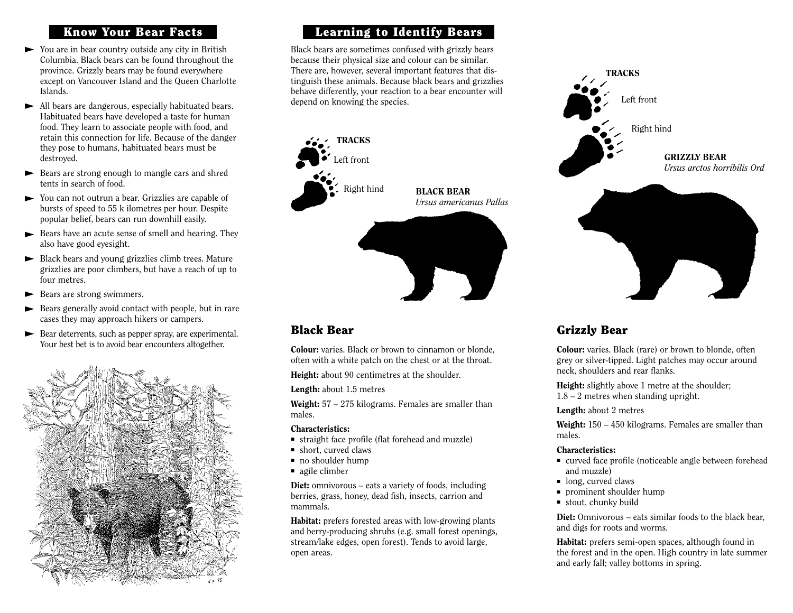### Know Your Bear Facts

- ► You are in bear country outside any city in British Columbia. Black bears can be found throughout the province. Grizzly bears may be found everywhere except on Vancouver Island and the Queen Charlotte Islands.
- ► All bears are dangerous, especially habituated bears. Habituated bears have developed a taste for human food. They learn to associate people with food, and retain this connection for life. Because of the danger they pose to humans, habituated bears must be destroyed.
- ► Bears are strong enough to mangle cars and shred tents in search of food.
- ► You can not outrun a bear. Grizzlies are capable of bursts of speed to 55 k ilometres per hour. Despite popular belief, bears can run downhill easily.
- ► Bears have an acute sense of smell and hearing. They also have good eyesight.
- ► Black bears and young grizzlies climb trees. Mature grizzlies are poor climbers, but have a reach of up to four metres.
- ► Bears are strong swimmers.
- ► Bears generally avoid contact with people, but in rare cases they may approach hikers or campers.
- ► Bear deterrents, such as pepper spray, are experimental. Your best bet is to avoid bear encounters altogether.



### Learning to Identify Bears

Black bears are sometimes confused with grizzly bears because their physical size and colour can be similar. There are, however, several important features that distinguish these animals. Because black bears and grizzlies behave differently, your reaction to a bear encounter will depend on knowing the species.



# Left front Right hind **TRACKS** GRIZZLY BEAR *Ursus arctos horribilis Ord*

# Grizzly Bear

Colour: varies. Black (rare) or brown to blonde, often grey or silver-tipped. Light patches may occur around neck, shoulders and rear flanks.

Height: slightly above 1 metre at the shoulder; 1.8 – 2 metres when standing upright.

#### Length: about 2 metres

Weight: 150 – 450 kilograms. Females are smaller than males.

#### Characteristics:

- curved face profile (noticeable angle between forehead and muzzle)
- long, curved claws
- prominent shoulder hump
- stout, chunky build

Diet: Omnivorous – eats similar foods to the black bear, and digs for roots and worms.

Habitat: prefers semi-open spaces, although found in the forest and in the open. High country in late summer and early fall; valley bottoms in spring.

# Black Bear

Colour: varies. Black or brown to cinnamon or blonde, often with a white patch on the chest or at the throat.

Height: about 90 centimetres at the shoulder.

Length: about 1.5 metres

Weight: 57 – 275 kilograms. Females are smaller than males.

#### Characteristics:

- straight face profile (flat forehead and muzzle)
- short, curved claws
- no shoulder hump
- agile climber

Diet: omnivorous – eats a variety of foods, including berries, grass, honey, dead fish, insects, carrion and mammals.

Habitat: prefers forested areas with low-growing plants and berry-producing shrubs (e.g. small forest openings, stream/lake edges, open forest). Tends to avoid large, open areas.